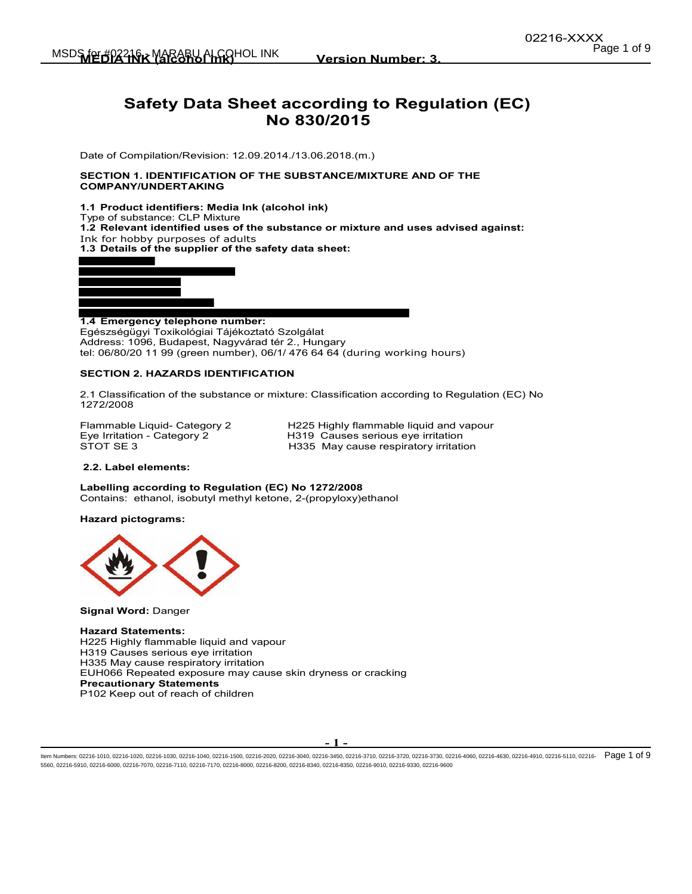# **Safety Data Sheet according to Regulation (EC) No 830/2015**

Date of Compilation/Revision: 12.09.2014./13.06.2018.(m.)

### **SECTION 1. IDENTIFICATION OF THE SUBSTANCE/MIXTURE AND OF THE COMPANY/UNDERTAKING**

**1.1 Product identifiers: Media Ink (alcohol ink)** 

Type of substance: CLP Mixture **1.2 Relevant identified uses of the substance or mixture and uses advised against:** 

Ink for hobby purposes of adults

**1.3 Details of the supplier of the safety data sheet:** 



**1.4 Emergency telephone number:**  Egészségügyi Toxikológiai Tájékoztató Szolgálat Address: 1096, Budapest, Nagyvárad tér 2., Hungary tel: 06/80/20 11 99 (green number), 06/1/ 476 64 64 (during working hours)

### **SECTION 2. HAZARDS IDENTIFICATION**

2.1 Classification of the substance or mixture: Classification according to Regulation (EC) No 1272/2008

Flammable Liquid- Category 2 H225 Highly flammable liquid and vapour<br>Eye Irritation - Category 2 H319 Causes serious eye irritation Eye Irritation - Category 2 **H319** Causes serious eye irritation<br>STOT SE 3 **H335** May cause respiratory irritation H335 May cause respiratory irritation

### **2.2. Label elements:**

**Labelling according to Regulation (EC) No 1272/2008**  Contains: ethanol, isobutyl methyl ketone, 2-(propyloxy)ethanol

### **Hazard pictograms:**



**Signal Word:** Danger

**Hazard Statements:**  H225 Highly flammable liquid and vapour H319 Causes serious eye irritation H335 May cause respiratory irritation EUH066 Repeated exposure may cause skin dryness or cracking **Precautionary Statements**  P102 Keep out of reach of children

**- 1 -** 

ltem Numbers: 02216-1010, 02216-1020, 02216-1030, 02216-1040, 02216-1500, 02216-2020, 02216-3040, 02216-3730, 02216-3730, 02216-3730, 02216-4080, 02216-4630, 02216-4630, 02216-4510, 02216-4110, 02216-4630, 02216-4630, 0221 5560, 02216-5910, 02216-6000, 02216-7070, 02216-7110, 02216-7170, 02216-8000, 02216-8200, 02216-8340, 02216-8350, 02216-9010, 02216-9330, 02216-9600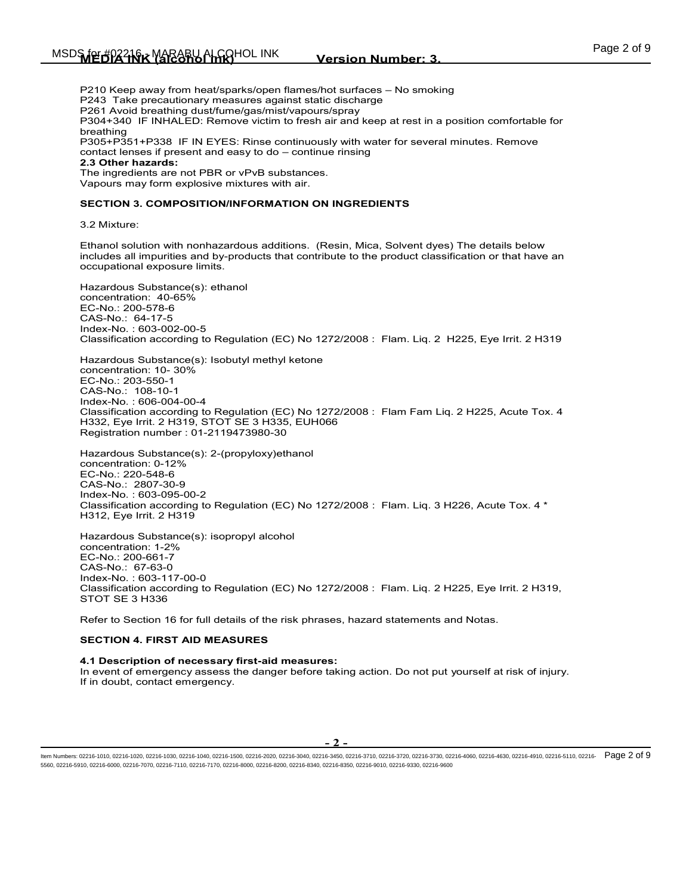P210 Keep away from heat/sparks/open flames/hot surfaces – No smoking P243 Take precautionary measures against static discharge P261 Avoid breathing dust/fume/gas/mist/vapours/spray P304+340 IF INHALED: Remove victim to fresh air and keep at rest in a position comfortable for breathing P305+P351+P338 IF IN EYES: Rinse continuously with water for several minutes. Remove contact lenses if present and easy to do – continue rinsing **2.3 Other hazards:** The ingredients are not PBR or vPvB substances.

Vapours may form explosive mixtures with air.

#### **SECTION 3. COMPOSITION/INFORMATION ON INGREDIENTS**

3.2 Mixture:

Ethanol solution with nonhazardous additions. (Resin, Mica, Solvent dyes) The details below includes all impurities and by-products that contribute to the product classification or that have an occupational exposure limits.

Hazardous Substance(s): ethanol concentration: 40-65% EC-No.: 200-578-6 CAS-No.: 64-17-5 Index-No. : 603-002-00-5 Classification according to Regulation (EC) No 1272/2008 : Flam. Liq. 2 H225, Eye Irrit. 2 H319

Hazardous Substance(s): Isobutyl methyl ketone concentration: 10- 30% EC-No.: 203-550-1 CAS-No.: 108-10-1 Index-No. : 606-004-00-4 Classification according to Regulation (EC) No 1272/2008 : Flam Fam Liq. 2 H225, Acute Tox. 4 H332, Eye Irrit. 2 H319, STOT SE 3 H335, EUH066 Registration number : 01-2119473980-30

Hazardous Substance(s): 2-(propyloxy)ethanol concentration: 0-12% EC-No.: 220-548-6 CAS-No.: 2807-30-9 Index-No. : 603-095-00-2 Classification according to Regulation (EC) No 1272/2008 : Flam. Liq. 3 H226, Acute Tox. 4 \* H312, Eye Irrit. 2 H319

Hazardous Substance(s): isopropyl alcohol concentration: 1-2% EC-No.: 200-661-7 CAS-No.: 67-63-0 Index-No. : 603-117-00-0 Classification according to Regulation (EC) No 1272/2008 : Flam. Liq. 2 H225, Eye Irrit. 2 H319, STOT SE 3 H336

Refer to Section 16 for full details of the risk phrases, hazard statements and Notas.

#### **SECTION 4. FIRST AID MEASURES**

**4.1 Description of necessary first-aid measures:** In event of emergency assess the danger before taking action. Do not put yourself at risk of injury. If in doubt, contact emergency.

ltem Numbers: 02216-1010, 02216-1020, 02216-1030, 02216-1040, 02216-1500, 02216-2020, 02216-3040, 02216-3730, 02216-3730, 02216-3730, 02216-4080, 02216-4630, 02216-4630, 02216-4510, 02216-4110, 02216-4630, 02216-4630, 0221 5560, 02216-5910, 02216-6000, 02216-7070, 02216-7110, 02216-7170, 02216-8000, 02216-8200, 02216-8340, 02216-8350, 02216-9010, 02216-9330, 02216-9600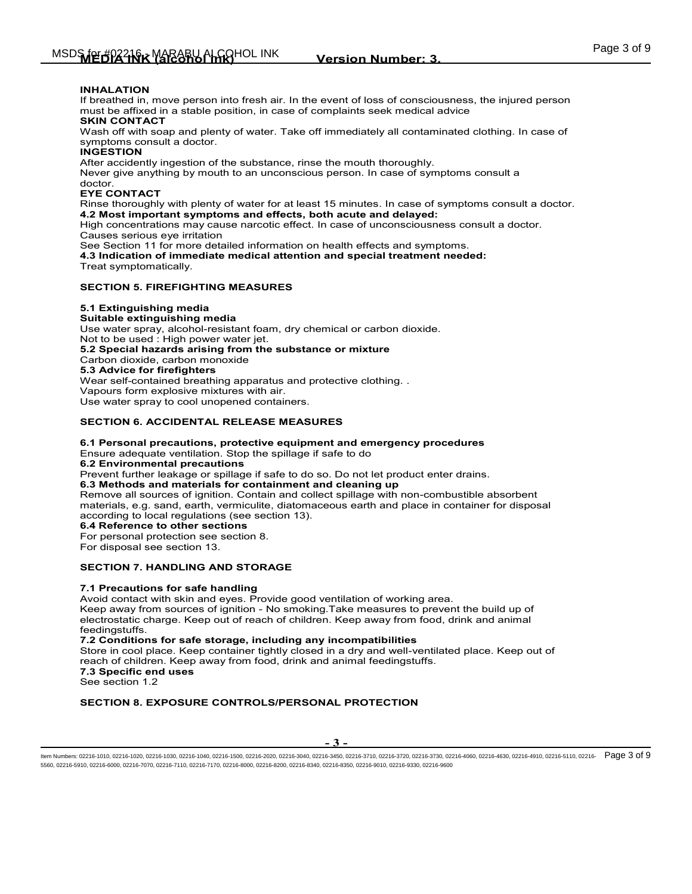### **INHALATION**

If breathed in, move person into fresh air. In the event of loss of consciousness, the injured person must be affixed in a stable position, in case of complaints seek medical advice

# **SKIN CONTACT**

Wash off with soap and plenty of water. Take off immediately all contaminated clothing. In case of symptoms consult a doctor.

#### **INGESTION**

After accidently ingestion of the substance, rinse the mouth thoroughly.

Never give anything by mouth to an unconscious person. In case of symptoms consult a doctor.

### **EYE CONTACT**

Rinse thoroughly with plenty of water for at least 15 minutes. In case of symptoms consult a doctor. **4.2 Most important symptoms and effects, both acute and delayed:** 

High concentrations may cause narcotic effect. In case of unconsciousness consult a doctor. Causes serious eye irritation

See Section 11 for more detailed information on health effects and symptoms.

**4.3 Indication of immediate medical attention and special treatment needed:** Treat symptomatically.

### **SECTION 5. FIREFIGHTING MEASURES**

### **5.1 Extinguishing media**

### **Suitable extinguishing media**

Use water spray, alcohol-resistant foam, dry chemical or carbon dioxide.

Not to be used : High power water jet.

**5.2 Special hazards arising from the substance or mixture** 

Carbon dioxide, carbon monoxide

## **5.3 Advice for firefighters**

Wear self-contained breathing apparatus and protective clothing. . Vapours form explosive mixtures with air. Use water spray to cool unopened containers.

### **SECTION 6. ACCIDENTAL RELEASE MEASURES**

### **6.1 Personal precautions, protective equipment and emergency procedures**

Ensure adequate ventilation. Stop the spillage if safe to do

**6.2 Environmental precautions** 

Prevent further leakage or spillage if safe to do so. Do not let product enter drains.

**6.3 Methods and materials for containment and cleaning up** 

Remove all sources of ignition. Contain and collect spillage with non-combustible absorbent materials, e.g. sand, earth, vermiculite, diatomaceous earth and place in container for disposal according to local regulations (see section 13).

**6.4 Reference to other sections** 

For personal protection see section 8.

For disposal see section 13.

### **SECTION 7. HANDLING AND STORAGE**

### **7.1 Precautions for safe handling**

Avoid contact with skin and eyes. Provide good ventilation of working area. Keep away from sources of ignition - No smoking.Take measures to prevent the build up of electrostatic charge. Keep out of reach of children. Keep away from food, drink and animal feedingstuffs.

### **7.2 Conditions for safe storage, including any incompatibilities**

Store in cool place. Keep container tightly closed in a dry and well-ventilated place. Keep out of reach of children. Keep away from food, drink and animal feedingstuffs. **7.3 Specific end uses**  See section 1.2

### **SECTION 8. EXPOSURE CONTROLS/PERSONAL PROTECTION**

ltem Numbers: 02216-1010, 02216-1020, 02216-1030, 02216-1040, 02216-1500, 02216-2020, 02216-3440, 02216-3730, 02216-3730, 02216-4020, 02216-4630, 02216-4630, 02216-4510, 02216-4510, 02216-4110, 02216-4630, 02216-4630, 0221 5560, 02216-5910, 02216-6000, 02216-7070, 02216-7110, 02216-7170, 02216-8000, 02216-8200, 02216-8340, 02216-8350, 02216-9010, 02216-9330, 02216-9600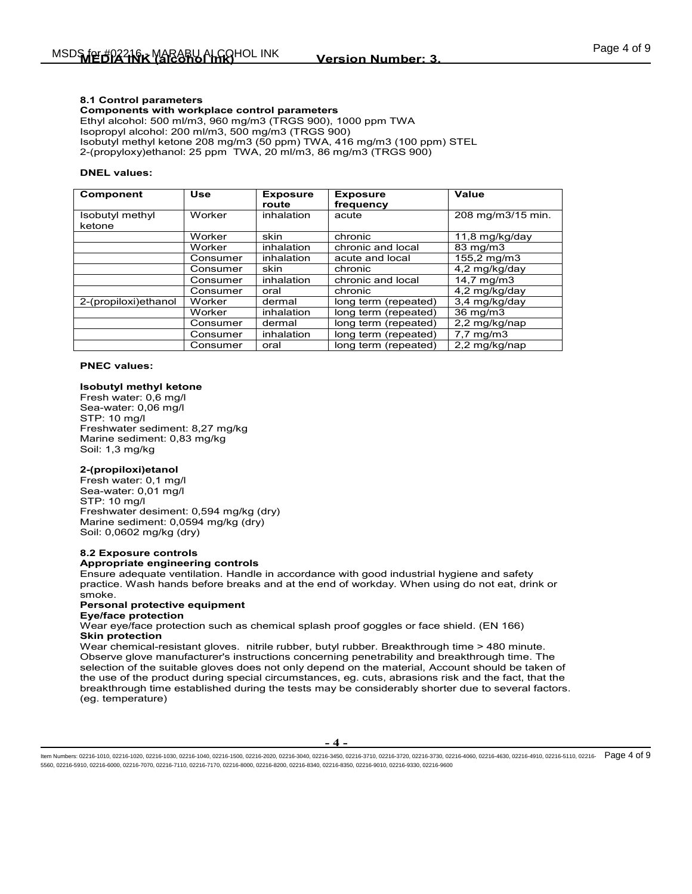### **8.1 Control parameters**

**Components with workplace control parameters** Ethyl alcohol: 500 ml/m3, 960 mg/m3 (TRGS 900), 1000 ppm TWA Isopropyl alcohol: 200 ml/m3, 500 mg/m3 (TRGS 900) Isobutyl methyl ketone 208 mg/m3 (50 ppm) TWA, 416 mg/m3 (100 ppm) STEL 2-(propyloxy)ethanol: 25 ppm TWA, 20 ml/m3, 86 mg/m3 (TRGS 900)

### **DNEL values:**

| <b>Component</b>          | <b>Use</b> | <b>Exposure</b><br>route | <b>Exposure</b><br>frequency | Value                |
|---------------------------|------------|--------------------------|------------------------------|----------------------|
| Isobutyl methyl<br>ketone | Worker     | inhalation               | acute                        | 208 mg/m3/15 min.    |
|                           | Worker     | skin                     | chronic                      | 11,8 mg/kg/day       |
|                           | Worker     | inhalation               | chronic and local            | 83 mg/m3             |
|                           | Consumer   | inhalation               | acute and local              | 155,2 mg/m3          |
|                           | Consumer   | skin                     | chronic                      | 4,2 mg/kg/day        |
|                           | Consumer   | inhalation               | chronic and local            | $14.7$ mg/m $3$      |
|                           | Consumer   | oral                     | chronic                      | 4,2 mg/kg/day        |
| 2-(propiloxi)ethanol      | Worker     | dermal                   | long term (repeated)         | 3.4 mg/kg/day        |
|                           | Worker     | inhalation               | long term (repeated)         | 36 mg/m3             |
|                           | Consumer   | dermal                   | long term (repeated)         | 2,2 mg/kg/nap        |
|                           | Consumer   | inhalation               | long term (repeated)         | $7,7 \text{ mg/m}$ 3 |
|                           | Consumer   | oral                     | long term (repeated)         | 2.2 mg/kg/nap        |

#### **PNEC values:**

#### **Isobutyl methyl ketone**

Fresh water: 0,6 mg/l Sea-water: 0,06 mg/l STP: 10 mg/l Freshwater sediment: 8,27 mg/kg Marine sediment: 0,83 mg/kg Soil: 1,3 mg/kg

### **2-(propiloxi)etanol**

Fresh water: 0,1 mg/l Sea-water: 0,01 mg/l STP: 10 mg/l Freshwater desiment: 0,594 mg/kg (dry) Marine sediment: 0,0594 mg/kg (dry) Soil: 0,0602 mg/kg (dry)

### **8.2 Exposure controls**

### **Appropriate engineering controls**

Ensure adequate ventilation. Handle in accordance with good industrial hygiene and safety practice. Wash hands before breaks and at the end of workday. When using do not eat, drink or smoke.

### **Personal protective equipment**

#### **Eye/face protection**

Wear eye/face protection such as chemical splash proof goggles or face shield. (EN 166) **Skin protection**

Wear chemical-resistant gloves. nitrile rubber, butyl rubber. Breakthrough time > 480 minute. Observe glove manufacturer's instructions concerning penetrability and breakthrough time. The selection of the suitable gloves does not only depend on the material, Account should be taken of the use of the product during special circumstances, eg. cuts, abrasions risk and the fact, that the breakthrough time established during the tests may be considerably shorter due to several factors. (eg. temperature)

ltem Numbers: 02216-1010, 02216-1020, 02216-1030, 02216-1040, 02216-1500, 02216-2020, 02216-3040, 02216-3730, 02216-3730, 02216-3730, 02216-4050, 02216-4630, 02216-4630, 02216-4510, 02216-4110, 02216-4050, 02216-4630, 0221 5560, 02216-5910, 02216-6000, 02216-7070, 02216-7110, 02216-7170, 02216-8000, 02216-8200, 02216-8340, 02216-8350, 02216-9010, 02216-9330, 02216-9600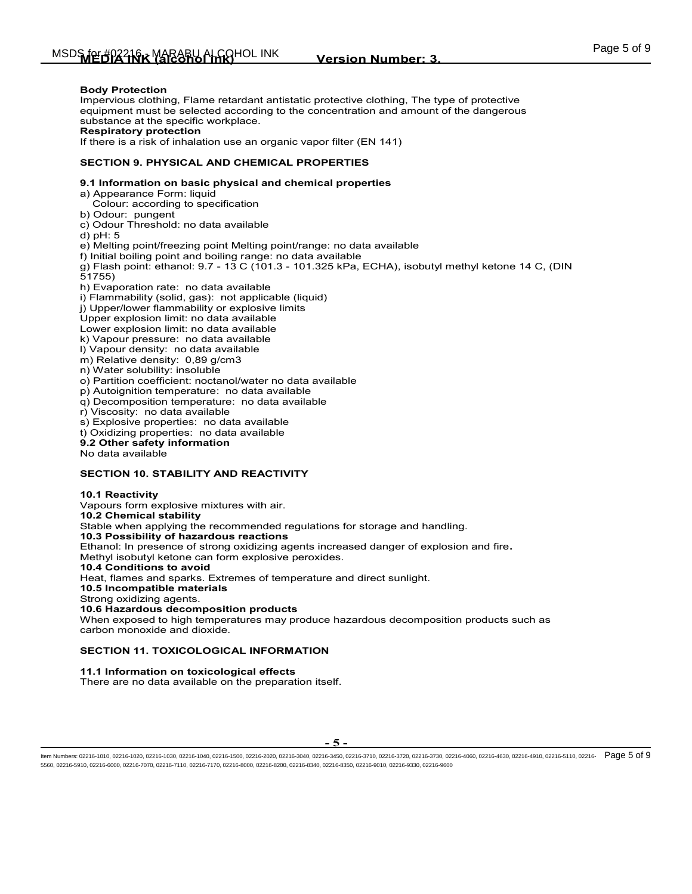### **Body Protection**

Impervious clothing, Flame retardant antistatic protective clothing, The type of protective equipment must be selected according to the concentration and amount of the dangerous substance at the specific workplace. **Respiratory protection**

If there is a risk of inhalation use an organic vapor filter (EN 141)

### **SECTION 9. PHYSICAL AND CHEMICAL PROPERTIES**

### **9.1 Information on basic physical and chemical properties**

a) Appearance Form: liquid

Colour: according to specification

b) Odour: pungent

c) Odour Threshold: no data available

d) pH: 5

e) Melting point/freezing point Melting point/range: no data available

f) Initial boiling point and boiling range: no data available

g) Flash point: ethanol: 9.7 - 13 C (101.3 - 101.325 kPa, ECHA), isobutyl methyl ketone 14 C, (DIN 51755)

h) Evaporation rate: no data available

i) Flammability (solid, gas): not applicable (liquid)

j) Upper/lower flammability or explosive limits

Upper explosion limit: no data available

Lower explosion limit: no data available

k) Vapour pressure: no data available

l) Vapour density: no data available

m) Relative density: 0,89 g/cm3

n) Water solubility: insoluble

o) Partition coefficient: noctanol/water no data available

p) Autoignition temperature: no data available

q) Decomposition temperature: no data available

r) Viscosity: no data available

s) Explosive properties: no data available

t) Oxidizing properties: no data available

**9.2 Other safety information**

No data available

### **SECTION 10. STABILITY AND REACTIVITY**

**10.1 Reactivity** Vapours form explosive mixtures with air. **10.2 Chemical stability** Stable when applying the recommended regulations for storage and handling. **10.3 Possibility of hazardous reactions** Ethanol: In presence of strong oxidizing agents increased danger of explosion and fire**.**  Methyl isobutyl ketone can form explosive peroxides. **10.4 Conditions to avoid** Heat, flames and sparks. Extremes of temperature and direct sunlight. **10.5 Incompatible materials** Strong oxidizing agents. **10.6 Hazardous decomposition products** When exposed to high temperatures may produce hazardous decomposition products such as carbon monoxide and dioxide.

# **SECTION 11. TOXICOLOGICAL INFORMATION**

### **11.1 Information on toxicological effects**

There are no data available on the preparation itself.

ltem Numbers: 02216-1010, 02216-1020, 02216-1030, 02216-1040, 02216-1500, 02216-2020, 02216-3040, 02216-3730, 02216-3730, 02216-3730, 02216-4050, 02216-4630, 02216-4630, 02216-4510, 02216-4110, 02216-4630, 02216-4630, 0221 5560, 02216-5910, 02216-6000, 02216-7070, 02216-7110, 02216-7170, 02216-8000, 02216-8200, 02216-8340, 02216-8350, 02216-9010, 02216-9330, 02216-9600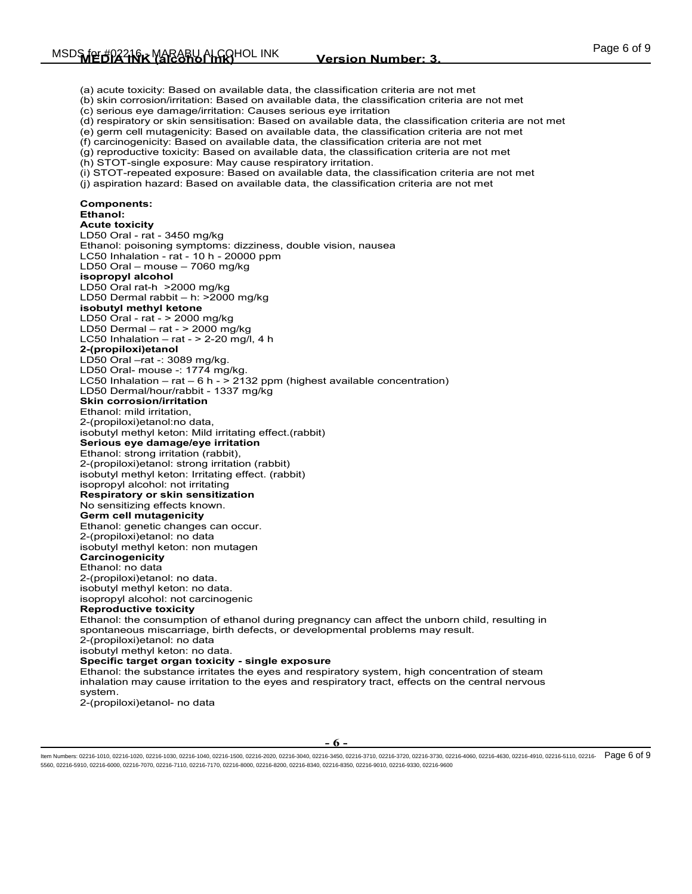(a) acute toxicity: Based on available data, the classification criteria are not met (b) skin corrosion/irritation: Based on available data, the classification criteria are not met (c) serious eye damage/irritation: Causes serious eye irritation (d) respiratory or skin sensitisation: Based on available data, the classification criteria are not met (e) germ cell mutagenicity: Based on available data, the classification criteria are not met (f) carcinogenicity: Based on available data, the classification criteria are not met (g) reproductive toxicity: Based on available data, the classification criteria are not met (h) STOT-single exposure: May cause respiratory irritation. (i) STOT-repeated exposure: Based on available data, the classification criteria are not met (j) aspiration hazard: Based on available data, the classification criteria are not met **Components: Ethanol: Acute toxicity**  LD50 Oral - rat - 3450 mg/kg Ethanol: poisoning symptoms: dizziness, double vision, nausea LC50 Inhalation - rat - 10 h - 20000 ppm LD50 Oral – mouse – 7060 mg/kg **isopropyl alcohol** LD50 Oral rat-h >2000 mg/kg LD50 Dermal rabbit – h: >2000 mg/kg **isobutyl methyl ketone** LD50 Oral - rat - > 2000 mg/kg LD50 Dermal – rat - > 2000 mg/kg LC50 Inhalation  $-$  rat -  $>$  2-20 mg/l, 4 h **2-(propiloxi)etanol**  LD50 Oral –rat -: 3089 mg/kg. LD50 Oral- mouse -: 1774 mg/kg. LC50 Inhalation – rat – 6 h - > 2132 ppm (highest available concentration) LD50 Dermal/hour/rabbit - 1337 mg/kg **Skin corrosion/irritation**  Ethanol: mild irritation, 2-(propiloxi)etanol:no data, isobutyl methyl keton: Mild irritating effect.(rabbit) **Serious eye damage/eye irritation**  Ethanol: strong irritation (rabbit), 2-(propiloxi)etanol: strong irritation (rabbit) isobutyl methyl keton: Irritating effect. (rabbit) isopropyl alcohol: not irritating **Respiratory or skin sensitization**  No sensitizing effects known. **Germ cell mutagenicity**  Ethanol: genetic changes can occur. 2-(propiloxi)etanol: no data isobutyl methyl keton: non mutagen **Carcinogenicity**  Ethanol: no data 2-(propiloxi)etanol: no data. isobutyl methyl keton: no data. isopropyl alcohol: not carcinogenic **Reproductive toxicity**  Ethanol: the consumption of ethanol during pregnancy can affect the unborn child, resulting in spontaneous miscarriage, birth defects, or developmental problems may result. 2-(propiloxi)etanol: no data isobutyl methyl keton: no data. **Specific target organ toxicity - single exposure**  Ethanol: the substance irritates the eyes and respiratory system, high concentration of steam inhalation may cause irritation to the eyes and respiratory tract, effects on the central nervous system. 2-(propiloxi)etanol- no data

**- 6 -**

ltem Numbers: 02216-1010, 02216-1020, 02216-1030, 02216-1040, 02216-1500, 02216-2020, 02216-3040, 02216-3730, 02216-3730, 02216-3730, 02216-4050, 02216-4630, 02216-4630, 02216-4510, 02216-4110, 02216-4630, 02216-4630, 0221 5560, 02216-5910, 02216-6000, 02216-7070, 02216-7110, 02216-7170, 02216-8000, 02216-8200, 02216-8340, 02216-8350, 02216-9010, 02216-9330, 02216-9600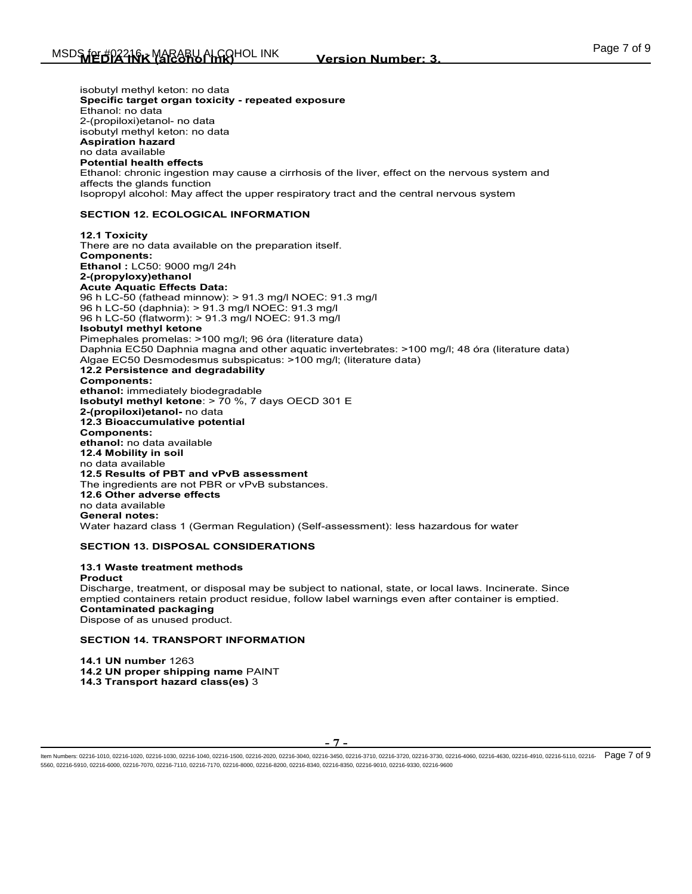isobutyl methyl keton: no data **Specific target organ toxicity - repeated exposure**  Ethanol: no data 2-(propiloxi)etanol- no data isobutyl methyl keton: no data **Aspiration hazard**  no data available **Potential health effects**  Ethanol: chronic ingestion may cause a cirrhosis of the liver, effect on the nervous system and affects the glands function Isopropyl alcohol: May affect the upper respiratory tract and the central nervous system

### **SECTION 12. ECOLOGICAL INFORMATION**

**12.1 Toxicity** There are no data available on the preparation itself. **Components: Ethanol :** LC50: 9000 mg/l 24h **2-(propyloxy)ethanol Acute Aquatic Effects Data:**  96 h LC-50 (fathead minnow): > 91.3 mg/l NOEC: 91.3 mg/l 96 h LC-50 (daphnia): > 91.3 mg/l NOEC: 91.3 mg/l 96 h LC-50 (flatworm): > 91.3 mg/l NOEC: 91.3 mg/l **Isobutyl methyl ketone**  Pimephales promelas: >100 mg/l; 96 óra (literature data) Daphnia EC50 Daphnia magna and other aquatic invertebrates: >100 mg/l; 48 óra (literature data) Algae EC50 Desmodesmus subspicatus: >100 mg/l; (literature data) **12.2 Persistence and degradability Components: ethanol:** immediately biodegradable **Isobutyl methyl ketone**: > 70 %, 7 days OECD 301 E **2-(propiloxi)etanol-** no data **12.3 Bioaccumulative potential Components: ethanol:** no data available **12.4 Mobility in soil** no data available **12.5 Results of PBT and vPvB assessment** The ingredients are not PBR or vPvB substances. **12.6 Other adverse effects** no data available **General notes:**  Water hazard class 1 (German Regulation) (Self-assessment): less hazardous for water

### **SECTION 13. DISPOSAL CONSIDERATIONS**

**13.1 Waste treatment methods Product** Discharge, treatment, or disposal may be subject to national, state, or local laws. Incinerate. Since emptied containers retain product residue, follow label warnings even after container is emptied. **Contaminated packaging** Dispose of as unused product.

### **SECTION 14. TRANSPORT INFORMATION**

**14.1 UN number** 1263 **14.2 UN proper shipping name** PAINT **14.3 Transport hazard class(es)** 3

ltem Numbers: 02216-1010, 02216-1020, 02216-1030, 02216-1040, 02216-1500, 02216-2020, 02216-3440, 02216-3730, 02216-3720, 02216-4020, 02216-4080, 02216-4630, 02216-4630, 02216-4510, 02216-4110, 02216-4630, 02216-4630, 0221 5560, 02216-5910, 02216-6000, 02216-7070, 02216-7110, 02216-7170, 02216-8000, 02216-8200, 02216-8340, 02216-8350, 02216-9010, 02216-9330, 02216-9600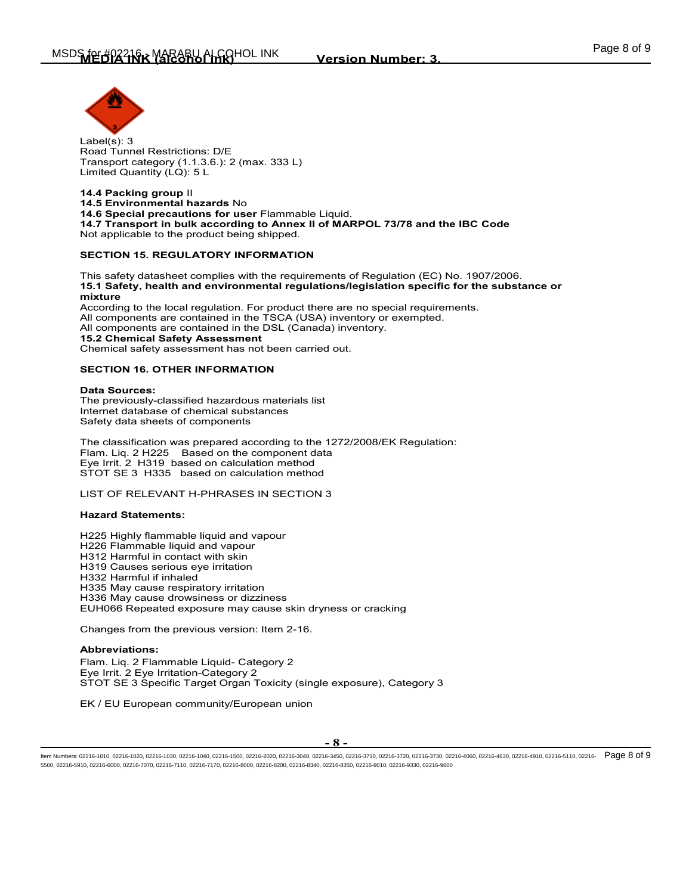

Label(s): 3 Road Tunnel Restrictions: D/E Transport category (1.1.3.6.): 2 (max. 333 L) Limited Quantity (LQ): 5 L

**14.4 Packing group** II **14.5 Environmental hazards** No **14.6 Special precautions for user** Flammable Liquid. **14.7 Transport in bulk according to Annex II of MARPOL 73/78 and the IBC Code**  Not applicable to the product being shipped.

### **SECTION 15. REGULATORY INFORMATION**

This safety datasheet complies with the requirements of Regulation (EC) No. 1907/2006. **15.1 Safety, health and environmental regulations/legislation specific for the substance or mixture**

According to the local regulation. For product there are no special requirements. All components are contained in the TSCA (USA) inventory or exempted. All components are contained in the DSL (Canada) inventory. **15.2 Chemical Safety Assessment** Chemical safety assessment has not been carried out.

### **SECTION 16. OTHER INFORMATION**

**Data Sources:** The previously-classified hazardous materials list Internet database of chemical substances Safety data sheets of components

The classification was prepared according to the 1272/2008/EK Regulation: Flam. Liq. 2 H225 Based on the component data Eye Irrit. 2 H319 based on calculation method STOT SE 3 H335 based on calculation method

LIST OF RELEVANT H-PHRASES IN SECTION 3

### **Hazard Statements:**

H225 Highly flammable liquid and vapour H226 Flammable liquid and vapour H312 Harmful in contact with skin H319 Causes serious eye irritation H332 Harmful if inhaled H335 May cause respiratory irritation H336 May cause drowsiness or dizziness EUH066 Repeated exposure may cause skin dryness or cracking

Changes from the previous version: Item 2-16.

### **Abbreviations:**

Flam. Liq. 2 Flammable Liquid- Category 2 Eye Irrit. 2 Eye Irritation-Category 2 STOT SE 3 Specific Target Organ Toxicity (single exposure), Category 3

EK / EU European community/European union

**- 8 -**

ltem Numbers: 02216-1010, 02216-1020, 02216-1030, 02216-1040, 02216-1500, 02216-2020, 02216-3440, 02216-3730, 02216-3720, 02216-4020, 02216-4080, 02216-4630, 02216-4630, 02216-4510, 02216-4110, 02216-4630, 02216-4630, 0221 5560, 02216-5910, 02216-6000, 02216-7070, 02216-7110, 02216-7170, 02216-8000, 02216-8200, 02216-8340, 02216-8350, 02216-9010, 02216-9330, 02216-9600